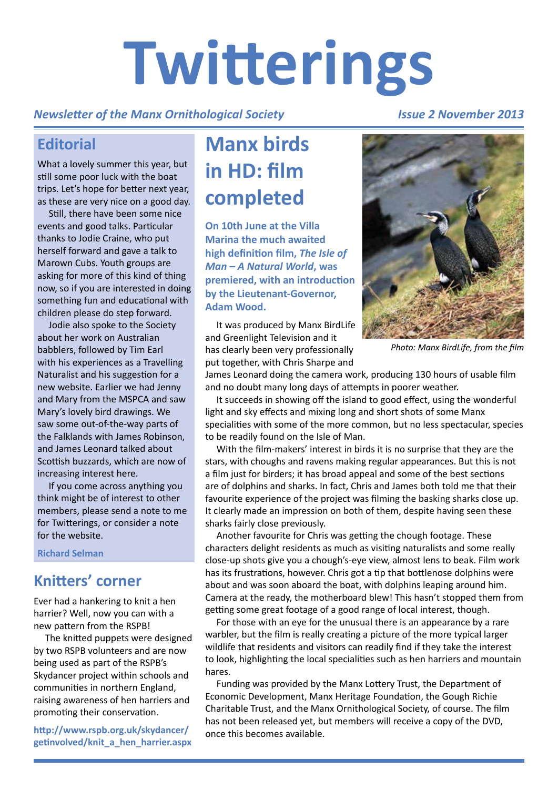# **Twitterings**

#### *Newsletter of the Manx Ornithological Society*

#### *Issue 2 November 2013*

## **Editorial**

What a lovely summer this year, but still some poor luck with the boat trips. Let's hope for better next year, as these are very nice on a good day.

Still, there have been some nice events and good talks. Particular thanks to Jodie Craine, who put herself forward and gave a talk to Marown Cubs. Youth groups are asking for more of this kind of thing now, so if you are interested in doing something fun and educational with children please do step forward.

Jodie also spoke to the Society about her work on Australian babblers, followed by Tim Earl with his experiences as a Travelling Naturalist and his suggestion for a new website. Earlier we had Jenny and Mary from the MSPCA and saw Mary's lovely bird drawings. We saw some out-of-the-way parts of the Falklands with James Robinson, and James Leonard talked about Scottish buzzards, which are now of increasing interest here.

If you come across anything you think might be of interest to other members, please send a note to me for Twitterings, or consider a note for the website.

**Richard Selman**

## **Knitters' corner**

Ever had a hankering to knit a hen harrier? Well, now you can with a new pattern from the RSPB!

The knitted puppets were designed by two RSPB volunteers and are now being used as part of the RSPB's Skydancer project within schools and communities in northern England, raising awareness of hen harriers and promoting their conservation.

**[http://www.rspb.org.uk/skydancer/](http://www.rspb.org.uk/skydancer/getinvolved/knit_a_hen_harrier.aspx) getinvolved/knit\_a\_hen\_harrier.aspx**

## **Manx birds in HD: film completed**

**On 10th June at the Villa Marina the much awaited high definition film,** *The Isle of Man – A Natural World***, was premiered, with an introduction by the Lieutenant-Governor, Adam Wood.**

It was produced by Manx BirdLife and Greenlight Television and it has clearly been very professionally put together, with Chris Sharpe and



*Photo: Manx BirdLife, from the film*

James Leonard doing the camera work, producing 130 hours of usable film and no doubt many long days of attempts in poorer weather.

It succeeds in showing off the island to good effect, using the wonderful light and sky effects and mixing long and short shots of some Manx specialities with some of the more common, but no less spectacular, species to be readily found on the Isle of Man.

With the film-makers' interest in birds it is no surprise that they are the stars, with choughs and ravens making regular appearances. But this is not a film just for birders; it has broad appeal and some of the best sections are of dolphins and sharks. In fact, Chris and James both told me that their favourite experience of the project was filming the basking sharks close up. It clearly made an impression on both of them, despite having seen these sharks fairly close previously.

Another favourite for Chris was getting the chough footage. These characters delight residents as much as visiting naturalists and some really close-up shots give you a chough's-eye view, almost lens to beak. Film work has its frustrations, however. Chris got a tip that bottlenose dolphins were about and was soon aboard the boat, with dolphins leaping around him. Camera at the ready, the motherboard blew! This hasn't stopped them from getting some great footage of a good range of local interest, though.

For those with an eye for the unusual there is an appearance by a rare warbler, but the film is really creating a picture of the more typical larger wildlife that residents and visitors can readily find if they take the interest to look, highlighting the local specialities such as hen harriers and mountain hares.

Funding was provided by the Manx Lottery Trust, the Department of Economic Development, Manx Heritage Foundation, the Gough Richie Charitable Trust, and the Manx Ornithological Society, of course. The film has not been released yet, but members will receive a copy of the DVD, once this becomes available.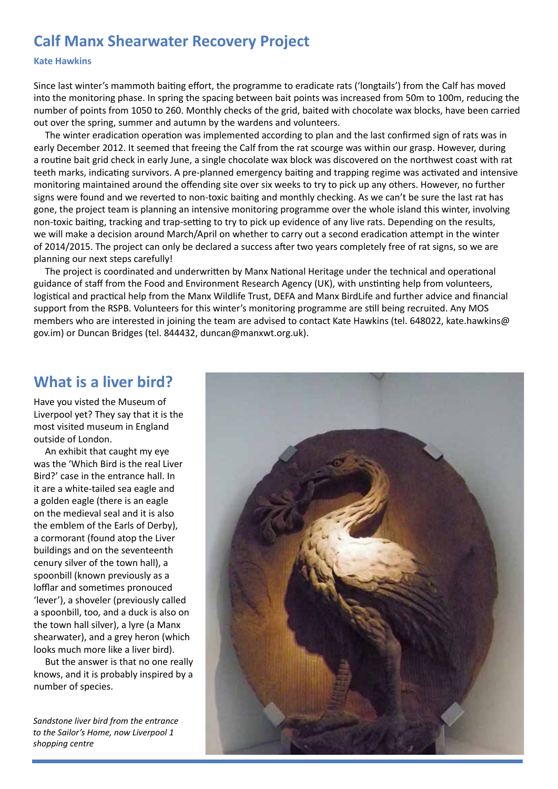## **Calf Manx Shearwater Recovery Project**

#### **Kate Hawkins**

Since last winter's mammoth baiting effort, the programme to eradicate rats ('longtails') from the Calf has moved into the monitoring phase. In spring the spacing between bait points was increased from 50m to 100m, reducing the number of points from 1050 to 260. Monthly checks of the grid, baited with chocolate wax blocks, have been carried out over the spring, summer and autumn by the wardens and volunteers.

The winter eradication operation was implemented according to plan and the last confirmed sign of rats was in early December 2012. It seemed that freeing the Calf from the rat scourge was within our grasp. However, during a routine bait grid check in early June, a single chocolate wax block was discovered on the northwest coast with rat teeth marks, indicating survivors. A pre-planned emergency baiting and trapping regime was activated and intensive monitoring maintained around the offending site over six weeks to try to pick up any others. However, no further signs were found and we reverted to non-toxic baiting and monthly checking. As we can't be sure the last rat has gone, the project team is planning an intensive monitoring programme over the whole island this winter, involving non-toxic baiting, tracking and trap-setting to try to pick up evidence of any live rats. Depending on the results, we will make a decision around March/April on whether to carry out a second eradication attempt in the winter of 2014/2015. The project can only be declared a success after two years completely free of rat signs, so we are planning our next steps carefully!

The project is coordinated and underwritten by Manx National Heritage under the technical and operational guidance of staff from the Food and Environment Research Agency (UK), with unstinting help from volunteers, logistical and practical help from the Manx Wildlife Trust, DEFA and Manx BirdLife and further advice and financial support from the RSPB. Volunteers for this winter's monitoring programme are still being recruited. Any MOS members who are interested in joining the team are advised to contact Kate Hawkins (tel. 648022, kate.hawkins@ gov.im) or Duncan Bridges (tel. 844432, [duncan@manxwt.org.uk\).](mailto:duncan@manxwt.org.uk)

## **What is a liver bird?**

Have you visted the Museum of Liverpool yet? They say that it is the most visited museum in England outside of London.

An exhibit that caught my eye was the 'Which Bird is the real Liver Bird?' case in the entrance hall. In it are a white-tailed sea eagle and a golden eagle (there is an eagle on the medieval seal and it is also the emblem of the Earls of Derby), a cormorant (found atop the Liver buildings and on the seventeenth cenury silver of the town hall), a spoonbill (known previously as a lofflar and sometimes pronouced 'lever'), a shoveler (previously called a spoonbill, too, and a duck is also on the town hall silver), a lyre (a Manx shearwater), and a grey heron (which looks much more like a liver bird).

But the answer is that no one really knows, and it is probably inspired by a number of species.

*Sandstone liver bird from the entrance to the Sailor's Home, now Liverpool 1 shopping centre*

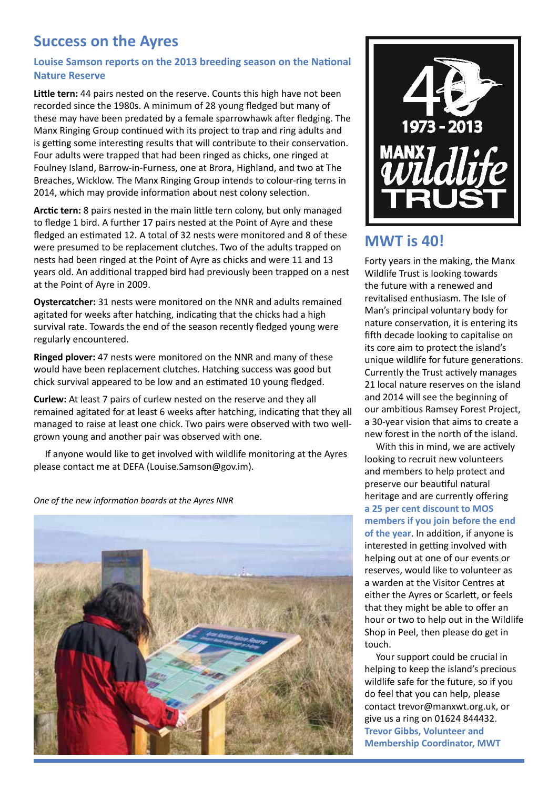## **Success on the Ayres**

#### **Louise Samson reports on the 2013 breeding season on the National Nature Reserve**

**Little tern:** 44 pairs nested on the reserve. Counts this high have not been recorded since the 1980s. A minimum of 28 young fledged but many of these may have been predated by a female sparrowhawk after fledging. The Manx Ringing Group continued with its project to trap and ring adults and is getting some interesting results that will contribute to their conservation. Four adults were trapped that had been ringed as chicks, one ringed at Foulney Island, Barrow-in-Furness, one at Brora, Highland, and two at The Breaches, Wicklow. The Manx Ringing Group intends to colour-ring terns in 2014, which may provide information about nest colony selection.

**Arctic tern:** 8 pairs nested in the main little tern colony, but only managed to fledge 1 bird. A further 17 pairs nested at the Point of Ayre and these fledged an estimated 12. A total of 32 nests were monitored and 8 of these were presumed to be replacement clutches. Two of the adults trapped on nests had been ringed at the Point of Ayre as chicks and were 11 and 13 years old. An additional trapped bird had previously been trapped on a nest at the Point of Ayre in 2009.

**Oystercatcher:** 31 nests were monitored on the NNR and adults remained agitated for weeks after hatching, indicating that the chicks had a high survival rate. Towards the end of the season recently fledged young were regularly encountered.

**Ringed plover:** 47 nests were monitored on the NNR and many of these would have been replacement clutches. Hatching success was good but chick survival appeared to be low and an estimated 10 young fledged.

**Curlew:** At least 7 pairs of curlew nested on the reserve and they all remained agitated for at least 6 weeks after hatching, indicating that they all managed to raise at least one chick. Two pairs were observed with two wellgrown young and another pair was observed with one.

If anyone would like to get involved with wildlife monitoring at the Ayres please contact me at DEFA ([Louise.Samson@gov.im\).](mailto:Louise.Samson@gov.im)

*One of the new information boards at the Ayres NNR*





## **MWT is 40!**

Forty years in the making, the Manx Wildlife Trust is looking towards the future with a renewed and revitalised enthusiasm. The Isle of Man's principal voluntary body for nature conservation, it is entering its fifth decade looking to capitalise on its core aim to protect the island's unique wildlife for future generations. Currently the Trust actively manages 21 local nature reserves on the island and 2014 will see the beginning of our ambitious Ramsey Forest Project, a 30-year vision that aims to create a new forest in the north of the island.

With this in mind, we are actively looking to recruit new volunteers and members to help protect and preserve our beautiful natural heritage and are currently offering **a 25 per cent discount to MOS members if you join before the end of the year**. In addition, if anyone is interested in getting involved with helping out at one of our events or reserves, would like to volunteer as a warden at the Visitor Centres at either the Ayres or Scarlett, or feels that they might be able to offer an hour or two to help out in the Wildlife Shop in Peel, then please do get in touch.

Your support could be crucial in helping to keep the island's precious wildlife safe for the future, so if you do feel that you can help, please contact [trevor@manxwt.org.uk, or](mailto:trevor@manxwt.org.uk) give us a ring on 01624 844432. **Trevor Gibbs, Volunteer and Membership Coordinator, MWT**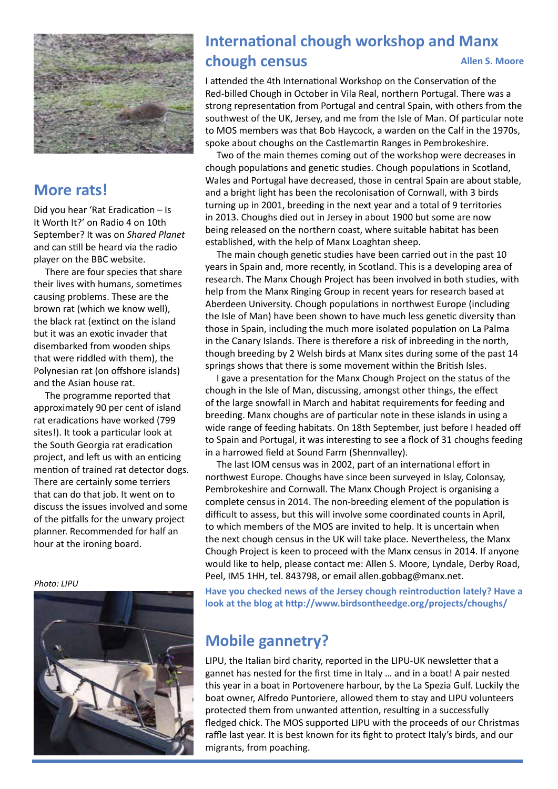

## **More rats!**

Did you hear 'Rat Eradication – Is It Worth It?' on Radio 4 on 10th September? It was on *Shared Planet* and can still be heard via the radio player on the BBC website.

There are four species that share their lives with humans, sometimes causing problems. These are the brown rat (which we know well), the black rat (extinct on the island but it was an exotic invader that disembarked from wooden ships that were riddled with them), the Polynesian rat (on offshore islands) and the Asian house rat.

The programme reported that approximately 90 per cent of island rat eradications have worked (799 sites!). It took a particular look at the South Georgia rat eradication project, and left us with an enticing mention of trained rat detector dogs. There are certainly some terriers that can do that job. It went on to discuss the issues involved and some of the pitfalls for the unwary project planner. Recommended for half an hour at the ironing board.

*Photo: LIPU*



#### **International chough workshop and Manx chough census Allen S. Moore**

I attended the 4th International Workshop on the Conservation of the Red-billed Chough in October in Vila Real, northern Portugal. There was a strong representation from Portugal and central Spain, with others from the southwest of the UK, Jersey, and me from the Isle of Man. Of particular note to MOS members was that Bob Haycock, a warden on the Calf in the 1970s, spoke about choughs on the Castlemartin Ranges in Pembrokeshire.

Two of the main themes coming out of the workshop were decreases in chough populations and genetic studies. Chough populations in Scotland, Wales and Portugal have decreased, those in central Spain are about stable, and a bright light has been the recolonisation of Cornwall, with 3 birds turning up in 2001, breeding in the next year and a total of 9 territories in 2013. Choughs died out in Jersey in about 1900 but some are now being released on the northern coast, where suitable habitat has been established, with the help of Manx Loaghtan sheep.

The main chough genetic studies have been carried out in the past 10 years in Spain and, more recently, in Scotland. This is a developing area of research. The Manx Chough Project has been involved in both studies, with help from the Manx Ringing Group in recent years for research based at Aberdeen University. Chough populations in northwest Europe (including the Isle of Man) have been shown to have much less genetic diversity than those in Spain, including the much more isolated population on La Palma in the Canary Islands. There is therefore a risk of inbreeding in the north, though breeding by 2 Welsh birds at Manx sites during some of the past 14 springs shows that there is some movement within the British Isles.

I gave a presentation for the Manx Chough Project on the status of the chough in the Isle of Man, discussing, amongst other things, the effect of the large snowfall in March and habitat requirements for feeding and breeding. Manx choughs are of particular note in these islands in using a wide range of feeding habitats. On 18th September, just before I headed off to Spain and Portugal, it was interesting to see a flock of 31 choughs feeding in a harrowed field at Sound Farm (Shennvalley).

The last IOM census was in 2002, part of an international effort in northwest Europe. Choughs have since been surveyed in Islay, Colonsay, Pembrokeshire and Cornwall. The Manx Chough Project is organising a complete census in 2014. The non-breeding element of the population is difficult to assess, but this will involve some coordinated counts in April, to which members of the MOS are invited to help. It is uncertain when the next chough census in the UK will take place. Nevertheless, the Manx Chough Project is keen to proceed with the Manx census in 2014. If anyone would like to help, please contact me: Allen S. Moore, Lyndale, Derby Road, Peel, IM5 1HH, tel. 843798, or email [allen.gobbag@manx.net.](mailto:allen.gobbag@manx.net)

**Have you checked news of the Jersey chough reintroduction lately? Have a look at the blog at <http://www.birdsontheedge.org/projects/choughs/>**

## **Mobile gannetry?**

LIPU, the Italian bird charity, reported in the LIPU-UK newsletter that a gannet has nested for the first time in Italy … and in a boat! A pair nested this year in a boat in Portovenere harbour, by the La Spezia Gulf. Luckily the boat owner, Alfredo Puntoriere, allowed them to stay and LIPU volunteers protected them from unwanted attention, resulting in a successfully fledged chick. The MOS supported LIPU with the proceeds of our Christmas raffle last year. It is best known for its fight to protect Italy's birds, and our migrants, from poaching.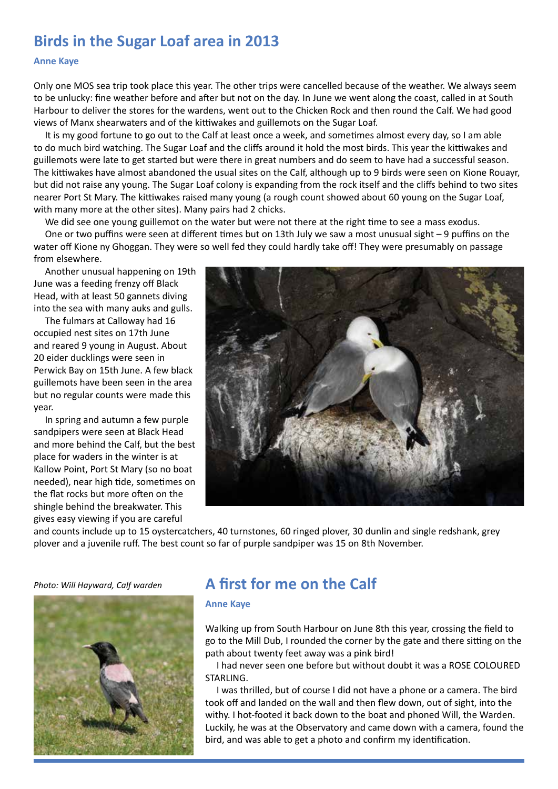## **Birds in the Sugar Loaf area in 2013**

#### **Anne Kaye**

Only one MOS sea trip took place this year. The other trips were cancelled because of the weather. We always seem to be unlucky: fine weather before and after but not on the day. In June we went along the coast, called in at South Harbour to deliver the stores for the wardens, went out to the Chicken Rock and then round the Calf. We had good views of Manx shearwaters and of the kittiwakes and guillemots on the Sugar Loaf.

It is my good fortune to go out to the Calf at least once a week, and sometimes almost every day, so I am able to do much bird watching. The Sugar Loaf and the cliffs around it hold the most birds. This year the kittiwakes and guillemots were late to get started but were there in great numbers and do seem to have had a successful season. The kittiwakes have almost abandoned the usual sites on the Calf, although up to 9 birds were seen on Kione Rouayr, but did not raise any young. The Sugar Loaf colony is expanding from the rock itself and the cliffs behind to two sites nearer Port St Mary. The kittiwakes raised many young (a rough count showed about 60 young on the Sugar Loaf, with many more at the other sites). Many pairs had 2 chicks.

We did see one young guillemot on the water but were not there at the right time to see a mass exodus.

One or two puffins were seen at different times but on 13th July we saw a most unusual sight – 9 puffins on the water off Kione ny Ghoggan. They were so well fed they could hardly take off! They were presumably on passage from elsewhere.

Another unusual happening on 19th June was a feeding frenzy off Black Head, with at least 50 gannets diving into the sea with many auks and gulls.

The fulmars at Calloway had 16 occupied nest sites on 17th June and reared 9 young in August. About 20 eider ducklings were seen in Perwick Bay on 15th June. A few black guillemots have been seen in the area but no regular counts were made this year.

In spring and autumn a few purple sandpipers were seen at Black Head and more behind the Calf, but the best place for waders in the winter is at Kallow Point, Port St Mary (so no boat needed), near high tide, sometimes on the flat rocks but more often on the shingle behind the breakwater. This gives easy viewing if you are careful



and counts include up to 15 oystercatchers, 40 turnstones, 60 ringed plover, 30 dunlin and single redshank, grey plover and a juvenile ruff. The best count so far of purple sandpiper was 15 on 8th November.

*Photo: Will Hayward, Calf warden*



## **A first for me on the Calf**

#### **Anne Kaye**

Walking up from South Harbour on June 8th this year, crossing the field to go to the Mill Dub, I rounded the corner by the gate and there sitting on the path about twenty feet away was a pink bird!

I had never seen one before but without doubt it was a ROSE COLOURED STARLING.

I was thrilled, but of course I did not have a phone or a camera. The bird took off and landed on the wall and then flew down, out of sight, into the withy. I hot-footed it back down to the boat and phoned Will, the Warden. Luckily, he was at the Observatory and came down with a camera, found the bird, and was able to get a photo and confirm my identification.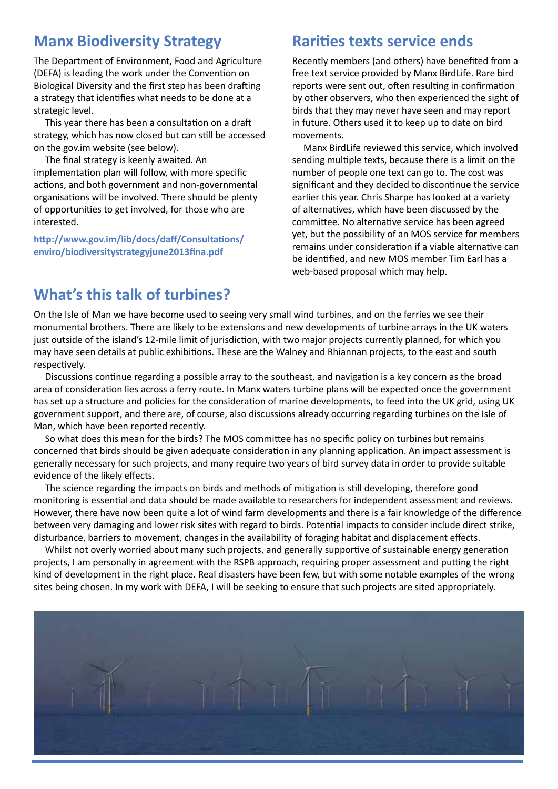## **Manx Biodiversity Strategy**

The Department of Environment, Food and Agriculture (DEFA) is leading the work under the Convention on Biological Diversity and the first step has been drafting a strategy that identifies what needs to be done at a strategic level.

This year there has been a consultation on a draft strategy, which has now closed but can still be accessed on the gov.im website (see below).

The final strategy is keenly awaited. An implementation plan will follow, with more specific actions, and both government and non-governmental organisations will be involved. There should be plenty of opportunities to get involved, for those who are interested.

**[http://www.gov.im/lib/docs/daff/Consultations/](http://www.gov.im/lib/docs/daff/Consultations/enviro/biodiversitystrategyjune2013fina.pdf) enviro/biodiversitystrategyjune2013fina.pdf**

## **Rarities texts service ends**

Recently members (and others) have benefited from a free text service provided by Manx BirdLife. Rare bird reports were sent out, often resulting in confirmation by other observers, who then experienced the sight of birds that they may never have seen and may report in future. Others used it to keep up to date on bird movements.

Manx BirdLife reviewed this service, which involved sending multiple texts, because there is a limit on the number of people one text can go to. The cost was significant and they decided to discontinue the service earlier this year. Chris Sharpe has looked at a variety of alternatives, which have been discussed by the committee. No alternative service has been agreed yet, but the possibility of an MOS service for members remains under consideration if a viable alternative can be identified, and new MOS member Tim Earl has a web-based proposal which may help.

## **What's this talk of turbines?**

On the Isle of Man we have become used to seeing very small wind turbines, and on the ferries we see their monumental brothers. There are likely to be extensions and new developments of turbine arrays in the UK waters just outside of the island's 12-mile limit of jurisdiction, with two major projects currently planned, for which you may have seen details at public exhibitions. These are the Walney and Rhiannan projects, to the east and south respectively.

Discussions continue regarding a possible array to the southeast, and navigation is a key concern as the broad area of consideration lies across a ferry route. In Manx waters turbine plans will be expected once the government has set up a structure and policies for the consideration of marine developments, to feed into the UK grid, using UK government support, and there are, of course, also discussions already occurring regarding turbines on the Isle of Man, which have been reported recently.

So what does this mean for the birds? The MOS committee has no specific policy on turbines but remains concerned that birds should be given adequate consideration in any planning application. An impact assessment is generally necessary for such projects, and many require two years of bird survey data in order to provide suitable evidence of the likely effects.

The science regarding the impacts on birds and methods of mitigation is still developing, therefore good monitoring is essential and data should be made available to researchers for independent assessment and reviews. However, there have now been quite a lot of wind farm developments and there is a fair knowledge of the difference between very damaging and lower risk sites with regard to birds. Potential impacts to consider include direct strike, disturbance, barriers to movement, changes in the availability of foraging habitat and displacement effects.

Whilst not overly worried about many such projects, and generally supportive of sustainable energy generation projects, I am personally in agreement with the RSPB approach, requiring proper assessment and putting the right kind of development in the right place. Real disasters have been few, but with some notable examples of the wrong sites being chosen. In my work with DEFA, I will be seeking to ensure that such projects are sited appropriately.

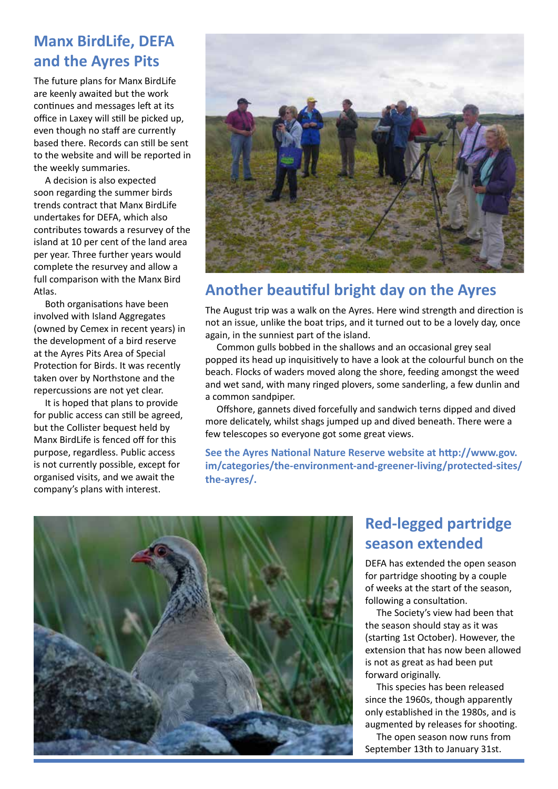## **Manx BirdLife, DEFA and the Ayres Pits**

The future plans for Manx BirdLife are keenly awaited but the work continues and messages left at its office in Laxey will still be picked up, even though no staff are currently based there. Records can still be sent to the website and will be reported in the weekly summaries.

A decision is also expected soon regarding the summer birds trends contract that Manx BirdLife undertakes for DEFA, which also contributes towards a resurvey of the island at 10 per cent of the land area per year. Three further years would complete the resurvey and allow a full comparison with the Manx Bird Atlas.

Both organisations have been involved with Island Aggregates (owned by Cemex in recent years) in the development of a bird reserve at the Ayres Pits Area of Special Protection for Birds. It was recently taken over by Northstone and the repercussions are not yet clear.

It is hoped that plans to provide for public access can still be agreed, but the Collister bequest held by Manx BirdLife is fenced off for this purpose, regardless. Public access is not currently possible, except for organised visits, and we await the company's plans with interest.



## **Another beautiful bright day on the Ayres**

The August trip was a walk on the Ayres. Here wind strength and direction is not an issue, unlike the boat trips, and it turned out to be a lovely day, once again, in the sunniest part of the island.

Common gulls bobbed in the shallows and an occasional grey seal popped its head up inquisitively to have a look at the colourful bunch on the beach. Flocks of waders moved along the shore, feeding amongst the weed and wet sand, with many ringed plovers, some sanderling, a few dunlin and a common sandpiper.

Offshore, gannets dived forcefully and sandwich terns dipped and dived more delicately, whilst shags jumped up and dived beneath. There were a few telescopes so everyone got some great views.

**See the Ayres National Nature Reserve website at http://www.gov. [im/categories/the-environment-and-greener-living/protected-sites/](http://www.gov.im/categories/the-environment-and-greener-living/protected-sites/the-ayres/) the-ayres/.**



## **Red-legged partridge season extended**

DEFA has extended the open season for partridge shooting by a couple of weeks at the start of the season, following a consultation.

The Society's view had been that the season should stay as it was (starting 1st October). However, the extension that has now been allowed is not as great as had been put forward originally.

This species has been released since the 1960s, though apparently only established in the 1980s, and is augmented by releases for shooting. The open season now runs from September 13th to January 31st.